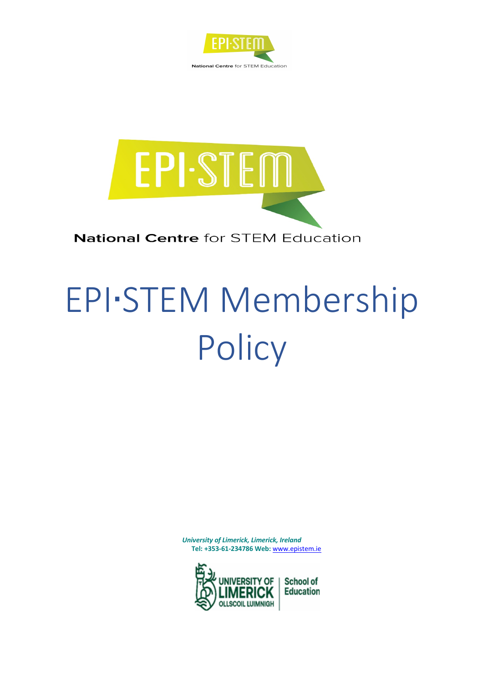



# **National Centre for STEM Education**

# EPI∙STEM Membership **Policy**

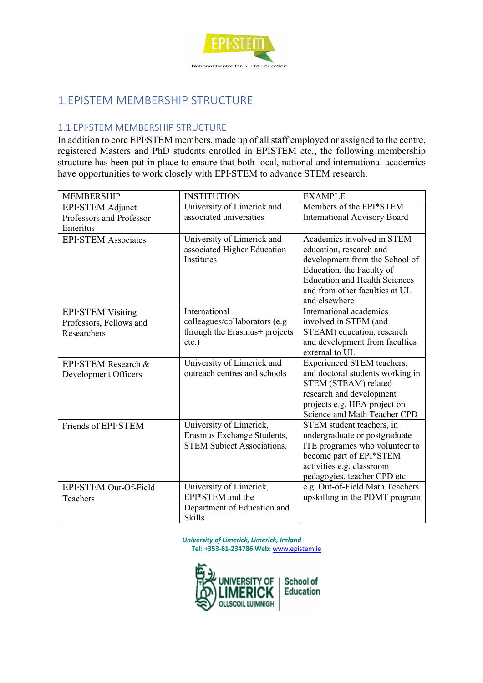

# 1.EPISTEM MEMBERSHIP STRUCTURE

## 1.1 EPI∙STEM MEMBERSHIP STRUCTURE

In addition to core EPI∙STEM members, made up of all staff employed or assigned to the centre, registered Masters and PhD students enrolled in EPISTEM etc., the following membership structure has been put in place to ensure that both local, national and international academics have opportunities to work closely with EPI∙STEM to advance STEM research.

| <b>MEMBERSHIP</b>           | <b>INSTITUTION</b>                                         | <b>EXAMPLE</b>                                           |
|-----------------------------|------------------------------------------------------------|----------------------------------------------------------|
| EPI STEM Adjunct            | University of Limerick and                                 | Members of the EPI*STEM                                  |
| Professors and Professor    | associated universities                                    | International Advisory Board                             |
| Emeritus                    |                                                            |                                                          |
| <b>EPI</b> ·STEM Associates | University of Limerick and                                 | Academics involved in STEM                               |
|                             | associated Higher Education                                | education, research and                                  |
|                             | <b>Institutes</b>                                          | development from the School of                           |
|                             |                                                            | Education, the Faculty of                                |
|                             |                                                            | <b>Education and Health Sciences</b>                     |
|                             |                                                            | and from other faculties at UL                           |
|                             |                                                            | and elsewhere                                            |
| <b>EPI</b> -STEM Visiting   | International                                              | International academics                                  |
| Professors, Fellows and     | colleagues/collaborators (e.g                              | involved in STEM (and                                    |
| Researchers                 | through the Erasmus+ projects                              | STEAM) education, research                               |
|                             | $etc.$ )                                                   | and development from faculties<br>external to UL         |
|                             |                                                            |                                                          |
| EPI STEM Research &         | University of Limerick and<br>outreach centres and schools | Experienced STEM teachers,                               |
| Development Officers        |                                                            | and doctoral students working in<br>STEM (STEAM) related |
|                             |                                                            | research and development                                 |
|                             |                                                            | projects e.g. HEA project on                             |
|                             |                                                            | Science and Math Teacher CPD                             |
| Friends of EPI STEM         | University of Limerick,                                    | STEM student teachers, in                                |
|                             | Erasmus Exchange Students,                                 | undergraduate or postgraduate                            |
|                             | STEM Subject Associations.                                 | ITE programes who volunteer to                           |
|                             |                                                            | become part of EPI*STEM                                  |
|                             |                                                            | activities e.g. classroom                                |
|                             |                                                            | pedagogies, teacher CPD etc.                             |
| EPI.STEM Out-Of-Field       | University of Limerick,                                    | e.g. Out-of-Field Math Teachers                          |
| Teachers                    | EPI*STEM and the                                           | upskilling in the PDMT program                           |
|                             | Department of Education and                                |                                                          |
|                             | Skills                                                     |                                                          |

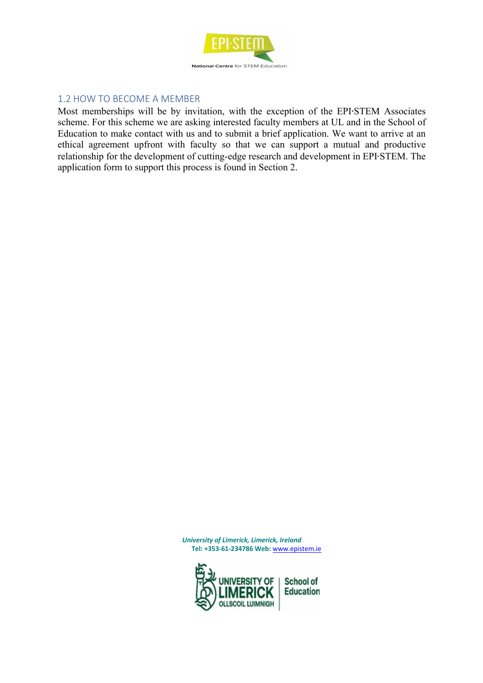

## 1.2 HOW TO BECOME A MEMBER

Most memberships will be by invitation, with the exception of the EPI∙STEM Associates scheme. For this scheme we are asking interested faculty members at UL and in the School of Education to make contact with us and to submit a brief application. We want to arrive at an ethical agreement upfront with faculty so that we can support a mutual and productive relationship for the development of cutting-edge research and development in EPI∙STEM. The application form to support this process is found in Section 2.

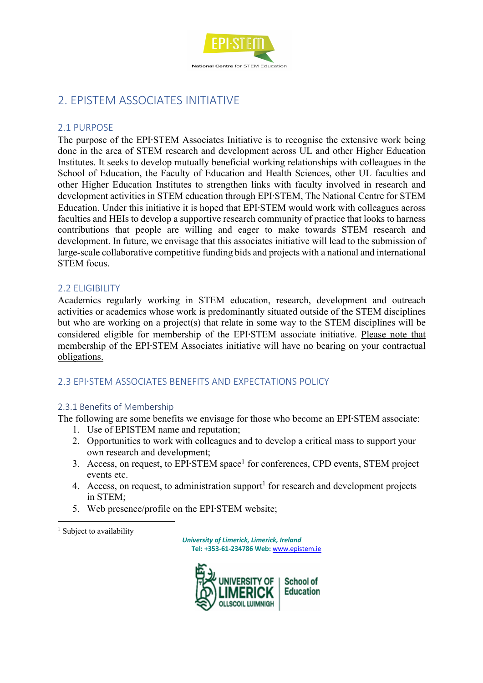

# 2. EPISTEM ASSOCIATES INITIATIVE

### 2.1 PURPOSE

The purpose of the EPI∙STEM Associates Initiative is to recognise the extensive work being done in the area of STEM research and development across UL and other Higher Education Institutes. It seeks to develop mutually beneficial working relationships with colleagues in the School of Education, the Faculty of Education and Health Sciences, other UL faculties and other Higher Education Institutes to strengthen links with faculty involved in research and development activities in STEM education through EPI∙STEM, The National Centre for STEM Education. Under this initiative it is hoped that EPI∙STEM would work with colleagues across faculties and HEIs to develop a supportive research community of practice that looks to harness contributions that people are willing and eager to make towards STEM research and development. In future, we envisage that this associates initiative will lead to the submission of large-scale collaborative competitive funding bids and projects with a national and international STEM focus.

#### 2.2 ELIGIBILITY

Academics regularly working in STEM education, research, development and outreach activities or academics whose work is predominantly situated outside of the STEM disciplines but who are working on a project(s) that relate in some way to the STEM disciplines will be considered eligible for membership of the EPI∙STEM associate initiative. Please note that membership of the EPI∙STEM Associates initiative will have no bearing on your contractual obligations.

## 2.3 EPI∙STEM ASSOCIATES BENEFITS AND EXPECTATIONS POLICY

#### 2.3.1 Benefits of Membership

The following are some benefits we envisage for those who become an EPI∙STEM associate:

- 1. Use of EPISTEM name and reputation;
- 2. Opportunities to work with colleagues and to develop a critical mass to support your own research and development;
- 3. Access, on request, to EPI∙STEM space<sup>1</sup> for conferences, CPD events, STEM project events etc.
- 4. Access, on request, to administration support<sup>1</sup> for research and development projects in STEM;
- 5. Web presence/profile on the EPI∙STEM website;

<sup>1</sup> Subject to availability

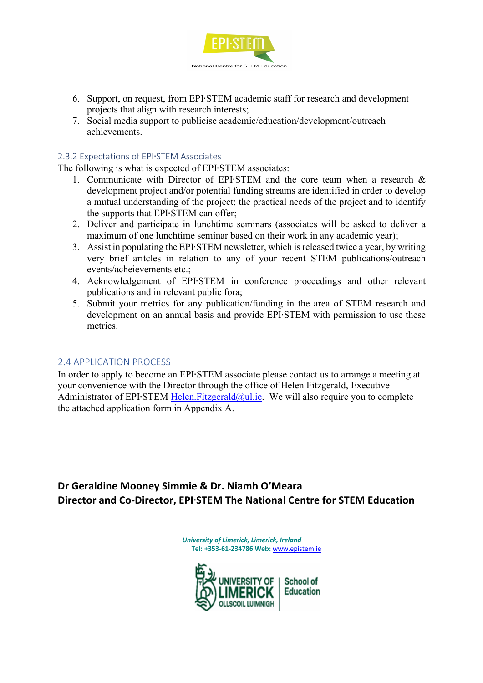

- 6. Support, on request, from EPI∙STEM academic staff for research and development projects that align with research interests;
- 7. Social media support to publicise academic/education/development/outreach achievements.

#### 2.3.2 Expectations of EPI∙STEM Associates

The following is what is expected of EPI∙STEM associates:

- 1. Communicate with Director of EPI∙STEM and the core team when a research & development project and/or potential funding streams are identified in order to develop a mutual understanding of the project; the practical needs of the project and to identify the supports that EPI∙STEM can offer;
- 2. Deliver and participate in lunchtime seminars (associates will be asked to deliver a maximum of one lunchtime seminar based on their work in any academic year);
- 3. Assist in populating the EPI∙STEM newsletter, which is released twice a year, by writing very brief aritcles in relation to any of your recent STEM publications/outreach events/acheievements etc.;
- 4. Acknowledgement of EPI∙STEM in conference proceedings and other relevant publications and in relevant public fora;
- 5. Submit your metrics for any publication/funding in the area of STEM research and development on an annual basis and provide EPI∙STEM with permission to use these metrics.

#### 2.4 APPLICATION PROCESS

In order to apply to become an EPI∙STEM associate please contact us to arrange a meeting at your convenience with the Director through the office of Helen Fitzgerald, Executive Administrator of EPI∙STEM Helen.Fitzgerald@ul.ie. We will also require you to complete the attached application form in Appendix A.

**Dr Geraldine Mooney Simmie & Dr. Niamh O'Meara Director and Co-Director, EPI**∙**STEM The National Centre for STEM Education**